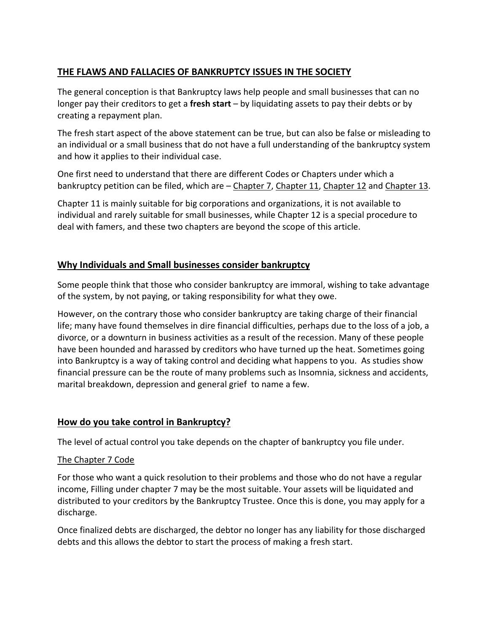# **THE FLAWS AND FALLACIES OF BANKRUPTCY ISSUES IN THE SOCIETY**

The general conception is that Bankruptcy laws help people and small businesses that can no longer pay their creditors to get a **fresh start** – by liquidating assets to pay their debts or by creating a repayment plan.

The fresh start aspect of the above statement can be true, but can also be false or misleading to an individual or a small business that do not have a full understanding of the bankruptcy system and how it applies to their individual case.

One first need to understand that there are different Codes or Chapters under which a bankruptcy petition can be filed, which are – [Chapter 7,](http://www.uscourts.gov/FederalCourts/Bankruptcy/BankruptcyBasics/Chapter7.aspx) [Chapter 11,](http://www.uscourts.gov/FederalCourts/Bankruptcy/BankruptcyBasics/Chapter11.aspx) Chapter 12 and [Chapter 13.](http://www.uscourts.gov/FederalCourts/Bankruptcy/BankruptcyBasics/Chapter13.aspx)

Chapter 11 is mainly suitable for big corporations and organizations, it is not available to individual and rarely suitable for small businesses, while Chapter 12 is a special procedure to deal with famers, and these two chapters are beyond the scope of this article.

## **Why Individuals and Small businesses consider bankruptcy**

Some people think that those who consider bankruptcy are immoral, wishing to take advantage of the system, by not paying, or taking responsibility for what they owe.

However, on the contrary those who consider bankruptcy are taking charge of their financial life; many have found themselves in dire financial difficulties, perhaps due to the loss of a job, a divorce, or a downturn in business activities as a result of the recession. Many of these people have been hounded and harassed by creditors who have turned up the heat. Sometimes going into Bankruptcy is a way of taking control and deciding what happens to you. As studies show financial pressure can be the route of many problems such as Insomnia, sickness and accidents, marital breakdown, depression and general grief to name a few.

## **How do you take control in Bankruptcy?**

The level of actual control you take depends on the chapter of bankruptcy you file under.

## The Chapter 7 Code

For those who want a quick resolution to their problems and those who do not have a regular income, Filling under chapter 7 may be the most suitable. Your assets will be liquidated and distributed to your creditors by the Bankruptcy Trustee. Once this is done, you may apply for a discharge.

Once finalized debts are discharged, the debtor no longer has any liability for those discharged debts and this allows the debtor to start the process of making a fresh start.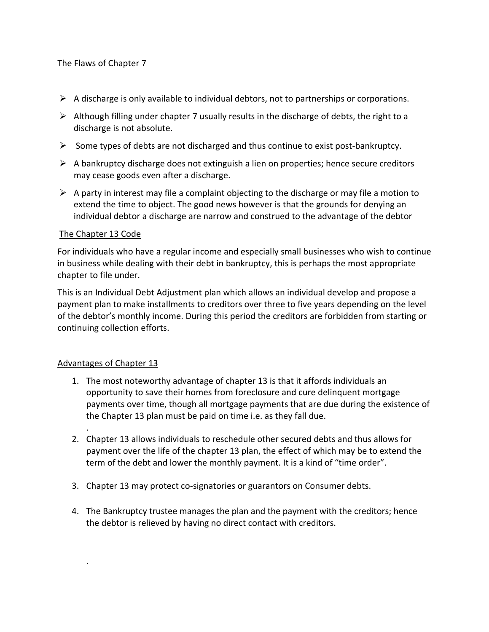### The Flaws of Chapter 7

- $\triangleright$  A discharge is only available to individual debtors, not to partnerships or corporations.
- $\triangleright$  Although filling under chapter 7 usually results in the discharge of debts, the right to a discharge is not absolute.
- $\triangleright$  Some types of debts are not discharged and thus continue to exist post-bankruptcy.
- $\triangleright$  A bankruptcy discharge does not extinguish a lien on properties; hence secure creditors may cease goods even after a discharge.
- $\triangleright$  A party in interest may file a complaint objecting to the discharge or may file a motion to extend the time to object. The good news however is that the grounds for denying an individual debtor a discharge are narrow and construed to the advantage of the debtor

#### The Chapter 13 Code

For individuals who have a regular income and especially small businesses who wish to continue in business while dealing with their debt in bankruptcy, this is perhaps the most appropriate chapter to file under.

This is an Individual Debt Adjustment plan which allows an individual develop and propose a payment plan to make installments to creditors over three to five years depending on the level of the debtor's monthly income. During this period the creditors are forbidden from starting or continuing collection efforts.

#### Advantages of Chapter 13

.

.

- 1. The most noteworthy advantage of chapter 13 is that it affords individuals an opportunity to save their homes from foreclosure and cure delinquent mortgage payments over time, though all mortgage payments that are due during the existence of the Chapter 13 plan must be paid on time i.e. as they fall due.
- 2. Chapter 13 allows individuals to reschedule other secured debts and thus allows for payment over the life of the chapter 13 plan, the effect of which may be to extend the term of the debt and lower the monthly payment. It is a kind of "time order".
- 3. Chapter 13 may protect co-signatories or guarantors on Consumer debts.
- 4. The Bankruptcy trustee manages the plan and the payment with the creditors; hence the debtor is relieved by having no direct contact with creditors.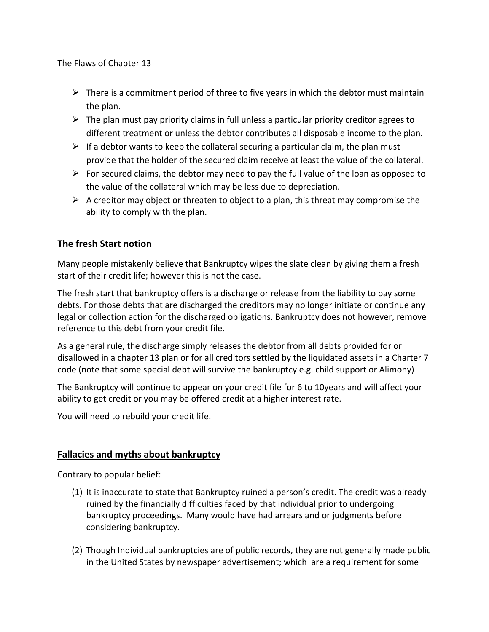### The Flaws of Chapter 13

- $\triangleright$  There is a commitment period of three to five years in which the debtor must maintain the plan.
- $\triangleright$  The plan must pay priority claims in full unless a particular priority creditor agrees to different treatment or unless the debtor contributes all disposable income to the plan.
- $\triangleright$  If a debtor wants to keep the collateral securing a particular claim, the plan must provide that the holder of the secured claim receive at least the value of the collateral.
- $\triangleright$  For secured claims, the debtor may need to pay the full value of the loan as opposed to the value of the collateral which may be less due to depreciation.
- $\triangleright$  A creditor may object or threaten to object to a plan, this threat may compromise the ability to comply with the plan.

# **The fresh Start notion**

Many people mistakenly believe that Bankruptcy wipes the slate clean by giving them a fresh start of their credit life; however this is not the case.

The fresh start that bankruptcy offers is a discharge or release from the liability to pay some debts. For those debts that are discharged the creditors may no longer initiate or continue any legal or collection action for the discharged obligations. Bankruptcy does not however, remove reference to this debt from your credit file.

As a general rule, the discharge simply releases the debtor from all debts provided for or disallowed in a chapter 13 plan or for all creditors settled by the liquidated assets in a Charter 7 code (note that some special debt will survive the bankruptcy e.g. child support or Alimony)

The Bankruptcy will continue to appear on your credit file for 6 to 10years and will affect your ability to get credit or you may be offered credit at a higher interest rate.

You will need to rebuild your credit life.

## **Fallacies and myths about bankruptcy**

Contrary to popular belief:

- (1) It is inaccurate to state that Bankruptcy ruined a person's credit. The credit was already ruined by the financially difficulties faced by that individual prior to undergoing bankruptcy proceedings. Many would have had arrears and or judgments before considering bankruptcy.
- (2) Though Individual bankruptcies are of public records, they are not generally made public in the United States by newspaper advertisement; which are a requirement for some